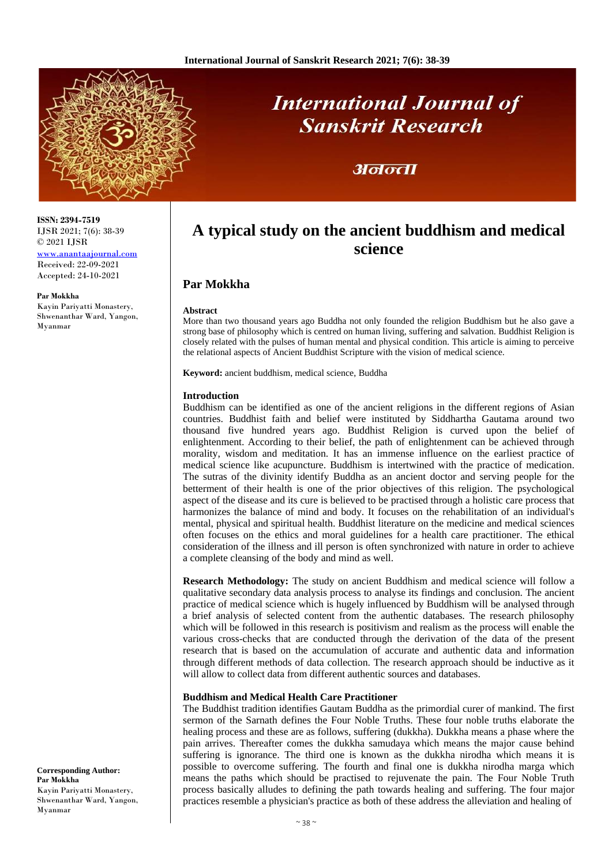

# **International Journal of Sanskrit Research**

## अनन्ता

# **A typical study on the ancient buddhism and medical science**

### **Par Mokkha**

#### **Abstract**

More than two thousand years ago Buddha not only founded the religion Buddhism but he also gave a strong base of philosophy which is centred on human living, suffering and salvation. Buddhist Religion is closely related with the pulses of human mental and physical condition. This article is aiming to perceive the relational aspects of Ancient Buddhist Scripture with the vision of medical science.

**Keyword:** ancient buddhism, medical science, Buddha

#### **Introduction**

Buddhism can be identified as one of the ancient religions in the different regions of Asian countries. Buddhist faith and belief were instituted by Siddhartha Gautama around two thousand five hundred years ago. Buddhist Religion is curved upon the belief of enlightenment. According to their belief, the path of enlightenment can be achieved through morality, wisdom and meditation. It has an immense influence on the earliest practice of medical science like acupuncture. Buddhism is intertwined with the practice of medication. The sutras of the divinity identify Buddha as an ancient doctor and serving people for the betterment of their health is one of the prior objectives of this religion. The psychological aspect of the disease and its cure is believed to be practised through a holistic care process that harmonizes the balance of mind and body. It focuses on the rehabilitation of an individual's mental, physical and spiritual health. Buddhist literature on the medicine and medical sciences often focuses on the ethics and moral guidelines for a health care practitioner. The ethical consideration of the illness and ill person is often synchronized with nature in order to achieve a complete cleansing of the body and mind as well.

**Research Methodology:** The study on ancient Buddhism and medical science will follow a qualitative secondary data analysis process to analyse its findings and conclusion. The ancient practice of medical science which is hugely influenced by Buddhism will be analysed through a brief analysis of selected content from the authentic databases. The research philosophy which will be followed in this research is positivism and realism as the process will enable the various cross-checks that are conducted through the derivation of the data of the present research that is based on the accumulation of accurate and authentic data and information through different methods of data collection. The research approach should be inductive as it will allow to collect data from different authentic sources and databases.

#### **Buddhism and Medical Health Care Practitioner**

The Buddhist tradition identifies Gautam Buddha as the primordial curer of mankind. The first sermon of the Sarnath defines the Four Noble Truths. These four noble truths elaborate the healing process and these are as follows, suffering (dukkha). Dukkha means a phase where the pain arrives. Thereafter comes the dukkha samudaya which means the major cause behind suffering is ignorance. The third one is known as the dukkha nirodha which means it is possible to overcome suffering. The fourth and final one is dukkha nirodha marga which means the paths which should be practised to rejuvenate the pain. The Four Noble Truth process basically alludes to defining the path towards healing and suffering. The four major practices resemble a physician's practice as both of these address the alleviation and healing of

**ISSN: 2394-7519** IJSR 2021; 7(6): 38-39 © 2021 IJSR

[www.anantaajournal.com](http://www.anantaajournal.com/) Received: 22-09-2021 Accepted: 24-10-2021

**Par Mokkha**

Kayin Pariyatti Monastery, Shwenanthar Ward, Yangon, Myanmar

**Corresponding Author: Par Mokkha** Kayin Pariyatti Monastery, Shwenanthar Ward, Yangon, Myanmar